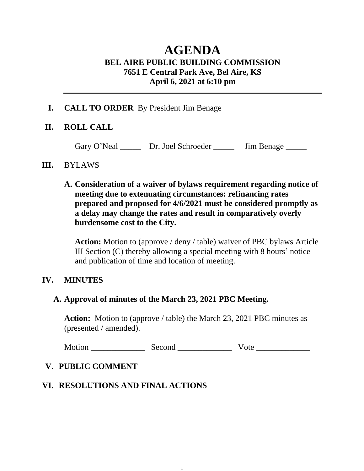# **AGENDA BEL AIRE PUBLIC BUILDING COMMISSION 7651 E Central Park Ave, Bel Aire, KS April 6, 2021 at 6:10 pm**

### **I. CALL TO ORDER** By President Jim Benage

# **II. ROLL CALL**

Gary O'Neal \_\_\_\_\_ Dr. Joel Schroeder \_\_\_\_\_ Jim Benage \_\_\_\_\_

#### **III.** BYLAWS

**A. Consideration of a waiver of bylaws requirement regarding notice of meeting due to extenuating circumstances: refinancing rates prepared and proposed for 4/6/2021 must be considered promptly as a delay may change the rates and result in comparatively overly burdensome cost to the City.**

**Action:** Motion to (approve / deny / table) waiver of PBC bylaws Article III Section (C) thereby allowing a special meeting with 8 hours' notice and publication of time and location of meeting.

### **IV. MINUTES**

### **A. Approval of minutes of the March 23, 2021 PBC Meeting.**

**Action:** Motion to (approve / table) the March 23, 2021 PBC minutes as (presented / amended).

Motion \_\_\_\_\_\_\_\_\_\_\_\_\_ Second \_\_\_\_\_\_\_\_\_\_\_\_\_ Vote \_\_\_\_\_\_\_\_\_\_\_\_\_

# **V. PUBLIC COMMENT**

# **VI. RESOLUTIONS AND FINAL ACTIONS**